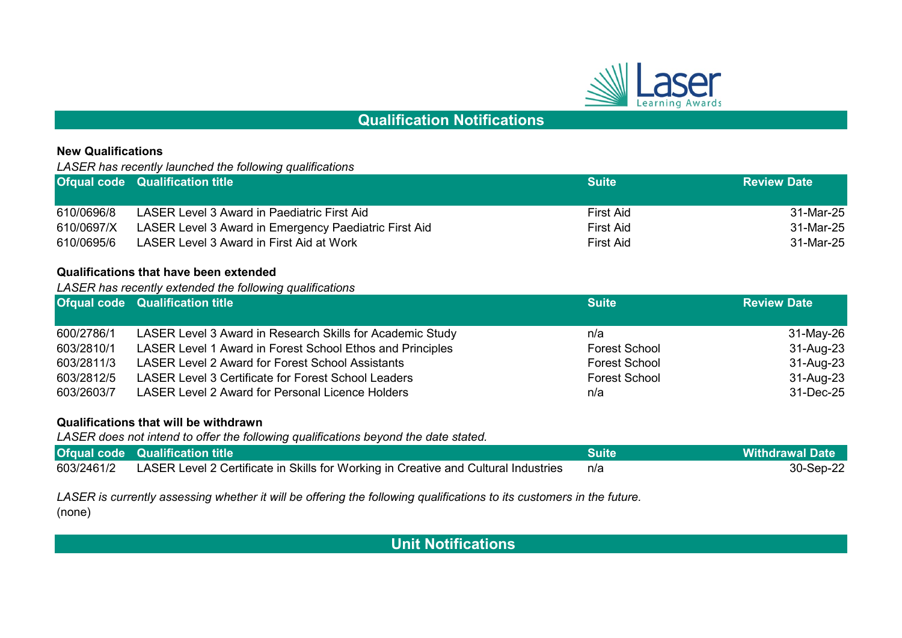

# **Qualification Notifications**

## **New Qualifications**

*LASER has recently launched the following qualifications* 

|            | <b>Ofqual code Qualification title</b>                | <b>Suite</b> | <b>Review Date</b> |
|------------|-------------------------------------------------------|--------------|--------------------|
|            |                                                       |              |                    |
| 610/0696/8 | LASER Level 3 Award in Paediatric First Aid           | First Aid    | 31-Mar-25          |
| 610/0697/X | LASER Level 3 Award in Emergency Paediatric First Aid | First Aid    | 31-Mar-25          |
| 610/0695/6 | LASER Level 3 Award in First Aid at Work              | First Aid    | 31-Mar-25          |

### **Qualifications that have been extended**

*LASER has recently extended the following qualifications*

|            | <b>Ofqual code Qualification title</b>                     | <b>Suite</b>         | <b>Review Date</b> |
|------------|------------------------------------------------------------|----------------------|--------------------|
|            |                                                            |                      |                    |
| 600/2786/1 | LASER Level 3 Award in Research Skills for Academic Study  | n/a                  | 31-May-26          |
| 603/2810/1 | LASER Level 1 Award in Forest School Ethos and Principles  | <b>Forest School</b> | 31-Aug-23          |
| 603/2811/3 | <b>LASER Level 2 Award for Forest School Assistants</b>    | <b>Forest School</b> | 31-Aug-23          |
| 603/2812/5 | <b>LASER Level 3 Certificate for Forest School Leaders</b> | <b>Forest School</b> | 31-Aug-23          |
| 603/2603/7 | <b>LASER Level 2 Award for Personal Licence Holders</b>    | n/a                  | 31-Dec-25          |

#### **Qualifications that will be withdrawn**

*LASER does not intend to offer the following qualifications beyond the date stated.*

| <b>Ofqual code</b> Qualification title                                                         | <b>Suite</b> | <b>Withdrawal Date</b> |
|------------------------------------------------------------------------------------------------|--------------|------------------------|
| 603/2461/2 LASER Level 2 Certificate in Skills for Working in Creative and Cultural Industries | n/a          | 30-Sep-22              |

(none) *LASER is currently assessing whether it will be offering the following qualifications to its customers in the future.* 

 **Unit Notifications**